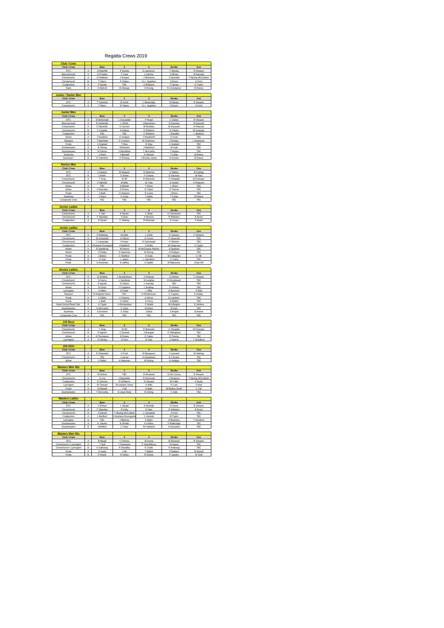#### Regatta Crews 2019

| Club / Crew<br>Club / Crew            |        | Bow                       | $\overline{\mathbf{2}}$        | $\overline{\mathbf{3}}$ | Stroke                    | Cox                          |
|---------------------------------------|--------|---------------------------|--------------------------------|-------------------------|---------------------------|------------------------------|
| <b>BTC</b>                            | A      | A Ratcliffe               | P Sturley                      | S Lawrence              | T Stanley                 | R Weaver                     |
| Bournemouth                           | А      | N Prowles                 | T Cave                         | L Darlow                | D Bihari                  | M Samuel                     |
| Christchurch                          | A      | G Rabbets                 | J Hooper                       | J McKenna               | J Hannafin                | T Myring-McCullach           |
| Christchurch                          | B      | T Mann                    | E Patton                       | G-L Angilioni           | S Erwin                   | A Fortt                      |
| Coalporters                           | A      | P Spratt                  | TBC                            | Z Williams              | T Symes                   | O Taylor                     |
| Ryde                                  | A      | O Bottrell                | M Allsopp                      | M Ewing                 | N Christopher             | <b>B</b> Reeve               |
| Junior / Senior Men                   |        |                           |                                |                         |                           |                              |
| Club / Crew                           |        | <b>Bow</b>                | $\overline{2}$                 | $\overline{\mathbf{3}}$ | Stroke                    | Cox                          |
| <b>BTC</b>                            | A      | T Potentier               | R Smith                        | L Betteridge            | M Moody                   | R Weaver                     |
| Christchurch                          | А      | T Mann                    | E Patton                       | G-L Angilioni           | S Erwin                   | A Fortt                      |
| <u>Junior Men</u>                     |        |                           |                                |                         |                           |                              |
| Club / Crew                           |        | Bow                       | $\mathbf{2}$                   | $\overline{\mathbf{3}}$ | Stroke                    | Cox                          |
| <b>BTC</b>                            | A      | <b>B</b> McDonald         | L Clousdale                    | P Noad                  | C Dukes                   | R Weaver                     |
| Bournemouth                           | A      | R Gellender               | L White                        | J Bayneham              | S Dupreez                 | M Samuel                     |
| Christchurch                          | A      | C Marshall                | S Cannon                       | M Weekes                | M Durward                 | H Pearson                    |
| Christchurch                          | в      | F Canelas<br><b>TBC</b>   | A Gialias<br>TBC               | G Robbins<br>C Williams | N Clarke                  | M Grainger                   |
| Coalporters<br>Itchen                 | A<br>A | J Sneddon                 | A Hodges                       | J Weatherill            | J Randell<br>S Frost      | L Bedford<br>TBC             |
| Newport                               | A      | T Batchelor               | O Coulson                      | M Chalmers              | J Findley                 | L Redwood                    |
| Poole                                 | A      | J Hoyland                 | T Reis                         | R Way                   | J Hoyland                 | TBC                          |
| Southampton                           | А      | R Doling                  | M Burkett                      | J Bashford              | W Kyle                    | TBC                          |
| Southampton<br>Southsea               | в<br>A | N Gibson<br>J Ware        | <b>Mountford</b><br>J Barwell  | T McCarthy<br>A Stewart | T Hoppe<br>T Calas        | TBC<br><b>B</b> Reeve        |
| Southsea <sup>*</sup>                 | в      | D Valentine               | O Wisbey                       | J Brooke-Jones          | D Kirwan                  | <b>B</b> Reeve               |
|                                       |        |                           |                                |                         |                           |                              |
| <b>Novice Men</b>                     |        |                           |                                |                         |                           |                              |
| Club / Crew                           |        | Bow                       | $\overline{2}$                 | $\overline{\mathbf{3}}$ | Stroke                    | Cox                          |
| <b>BTC</b>                            | A      | J Hawker                  | M Wegner                       | R Elderton              | K Mathis                  | <b>B</b> Holding             |
| <b>BTC</b><br>Christchurch            | в<br>A | J Wells<br>T King         | G Rowe<br><b>B</b> Hill        | F Grasso<br>R Brewster  | D Parsons<br>C Pengelly   | M Paul<br>M Grainger         |
| Christchurch                          | в      | F Mitchell                | M Mills                        | W Tate                  | S Hewitt                  | H Pearson                    |
| Itchen                                | A      | <b>TBC</b>                | S Blewitt                      | T Were                  | L Were                    | TBC                          |
| Itchen                                | B      | O Barnaby                 | R Evans                        | O Taylor                | E Thorne                  | <b>TRC</b>                   |
| Poole<br>Southsea                     | А<br>A | J Bath<br>J Ware          | D Watson<br>D Kirby            | S Curtis<br>J Kellet    | J Perry<br>T Calas        | TBC<br><b>B</b> Reeve        |
| Composite Crew                        | A      | TBC                       | TBC                            | TBC                     | <b>TBC</b>                | TBC                          |
|                                       |        |                           |                                |                         |                           |                              |
| <b>Senior Ladies</b>                  |        |                           |                                |                         |                           |                              |
| Club / Crew                           |        | Bow                       | $\overline{2}$                 | $\overline{\mathbf{3}}$ | Stroke                    | Cox                          |
| Christchurch<br>Christchurch          | A<br>B | L Hart<br>F Standley      | E Moran<br>S Glen              | C Brad<br>A Binnion     | K Cherskova<br>R Williams | TBC<br>E Erwin               |
| Coalporters                           | A      | E Spratt                  | C Starkey                      | R Walczak               | E Cruse                   | P Budd                       |
|                                       |        |                           |                                |                         |                           |                              |
| <b>Junior Ladies</b>                  |        |                           |                                |                         |                           |                              |
| Club / Crew                           |        | <b>Bow</b>                | $\mathbf 2$                    | 3                       | Stroke                    | Cox                          |
| <b>BTC</b><br>Christchurch            | A      | V Walshaw                 | M Gibb<br>J Fahrizi            | L Chick<br>A Turner     | K Hassan                  | C Weaver                     |
| Christchurch                          | A<br>в | M Campbell<br>I Langridge | A Facer                        | E Fairclough            | F Howcroft<br>H Skinner   | TBC<br>TBC                   |
| Coalporters                           | A      | Warland-Drumgoo           | A Bedford                      | S Wells                 | M Chapman                 | O Tavior                     |
| Itchen                                | A      | R Spedding                | M Hance                        | M.McGregor-Ritchie      | S Sparkes                 | TBC                          |
| Itchen                                | в      | J Phelps                  | A Newman                       | M Strong                | A Hodges                  | TBC                          |
| Poole                                 | A      | J Bolton                  | C Welford                      | H Daily                 | M Callaghan               | C Hill                       |
| Poole<br>Poole                        | B<br>C | H Hall<br>A Henshaw       | L Jeans<br>N Jeffery           | L Sandford<br>K Sadler  | C Crane<br>M Matusova     | TBC<br>Chez Hill             |
|                                       |        |                           |                                |                         |                           |                              |
| <b>Novice Ladies</b>                  |        |                           |                                |                         |                           |                              |
| Club / Crew                           |        | Bow                       | $\overline{2}$                 | $\overline{3}$          | Stroke                    | Cox                          |
| <b>BTC</b>                            | A      | <b>B</b> Holding          | L Brocklehurst                 | H Weaver                | G Kenton                  | C Weaver                     |
| Christchurch<br>Christchurch          | A<br>в | S Harris<br>S Ingram      | L Gardener<br>S Clarke         | M Lungley<br>L Hanney   | E Woodward<br>TBC         | TBC<br>TBC                   |
| Itchen                                | A      | N Dixon                   | J Creighton                    | L Bradley               | E Hickey                  | TBC                          |
| Lymington                             | А      | A Melin                   | E Potter                       | L Mills                 | E Butchers                | O Bull                       |
| Newport                               | A      | B Walpole-Davis           | TBC                            | S Whitehouse            | C Hughes                  | E Oatley                     |
| Poole                                 | A      | J Gibbs                   | V Chinery                      | A Okros                 | G Lambert                 | TBC                          |
| Poole<br>Ryde School Boat Club        | B<br>A | L Bath<br>A Taylor        | S Gilder<br>A Richardson       | H Perry<br>F Webb       | S Ballett<br>M Lillington | <b>TBC</b><br>E<br>Jenkin    |
| Southampton                           | A      | A McCarthy                | C Heys                         | M Mann                  | M Kyle                    | TBC                          |
| Southsea                              | А      | A Emerton                 | C Eddy                         | J Back                  | J Wright                  | <b>B</b> Reeve               |
| Composite Crew                        | A      | TBC                       | TBC                            | TBC                     | TBC                       | TBC                          |
| J16 Bovs                              |        |                           |                                |                         |                           |                              |
| Club / Crew                           |        | Bow                       | $\overline{2}$                 | $\overline{\mathbf{3}}$ | Stroke                    | Cox                          |
| Christchurch                          | A      | T King                    | <b>B</b> Hill                  | R Brewster              | C Pengelly                | M Grainge                    |
| Christchurch                          | B      | R Ingrem                  | C Everett                      | J Brangan               | O Gillingham              | TRC                          |
| Itchen                                | Α      | A Thompson                | R Evans                        | O Taylor                | E Thorne                  | TBC                          |
| Lymington                             | A      | O Verney                  | G Fern                         | E Cain                  | J Adams                   | T Woolford                   |
| J16 Girls                             |        |                           |                                |                         |                           |                              |
| Club / Crew                           |        | Bow                       | $\overline{2}$                 | $\overline{\mathbf{3}}$ | Stroke                    | Cox                          |
| <b>BTC</b>                            | A      | E Shephard                | K Ford                         | M Margeson              | J Leonard                 | <b>B</b> Holding             |
| Christchurch                          | A<br>A | <b>TBC</b>                | J Larner                       | A Donaldson             | E J Evans<br>A Hodges     | TBC                          |
| Itchen                                |        | F Nellor                  | A Newman                       | M Strong                |                           | TBC                          |
| <b>Masters Men 40s</b>                |        |                           |                                |                         |                           |                              |
| Club / Crew                           |        | Bow                       | $\overline{2}$                 | $\overline{\mathbf{3}}$ | Stroke                    | Cox                          |
| <b>BTC</b>                            | A      | M Wilson                  | TBC                            | R Binstead              | G De Courcy               | R Weaver                     |
| Christchurch<br>Coalporters           | А<br>A | S Livy<br>R Quinton       | J Reynolds<br>R Williams       | N Dimmock<br>G Seward   | J Simpson<br>M Coffin     | T Myring-McCullach<br>P Rudd |
| Lymington                             | A      | M Tremain                 | M Leyland-Jones                | H Mills                 | P Lock                    | O Bull                       |
| Poole                                 | A      | M Sewell                  | <b>LHill</b>                   | S Bath                  | M Bettley-Smith           | C Hill                       |
| Southampton                           | А      | T McCarthy                | S Lloyd-West                   | R Doling                | C Kyle                    | TBC                          |
| <b>Masters Ladies</b>                 |        |                           |                                |                         |                           |                              |
| Club / Crew                           |        | Bow                       | $\mathbf{2}$                   | $\mathbf 3$             | Stroke                    | Cox                          |
| <b>BTC</b>                            | A      | J Wilson                  | L Mould                        | E Nicholls              | K Hume                    | R Weaver                     |
| Christchurch                          | A      | F Standley                | E Kelly                        | S Glen                  | R Williams                | E Erwin                      |
| Christchurch                          | в      | <b>I Fdicott</b>          | T Myring-McCullach             | Campbel                 | A Fortt                   | <b>TBC</b>                   |
| Coalporters<br>Lymington              | A<br>A | L Bedford<br>TBC          | J Warland-Drumgool<br>J Memery | C Hackett<br>K Melin    | M Taylor<br>E Butchers    | TBC<br>T Wooford             |
| Southampton                           | A      | A Davies                  | E Whale                        | K Holliss               | F Walbridge               | TBC                          |
| Southampton                           | в      | I McMinn                  | C Heys                         | W Hartland              | A Saunders                | TBC                          |
|                                       |        |                           |                                |                         |                           |                              |
| <b>Masters Men 50s</b><br>Club / Crew |        | Bow                       | $\mathbf{2}$                   | $\mathbf 3$             | Stroke                    | Cox                          |
| <b>BTC</b>                            | A      | <b>B</b> Mould            | C Pitches                      | M Hume                  | <b>B</b> Edwards          | R Weave                      |
| Christchurch / Lymington              | A      | T Bull                    | T Rosewarn                     | P Scantlebury           | M Heard                   | TBC                          |
| Christchurch / Lymington              | в      | Galloway                  | R Standley                     | K Chalk                 | A Holloway                | TBC                          |
| Poole                                 | A      | K Keely                   | LHill                          | T Railett               | P Ballard                 | M Sewell                     |
| Poole                                 | B      | P Drane                   | R Gibbs                        | R Wilson                | P Jacobs                  | W Duff                       |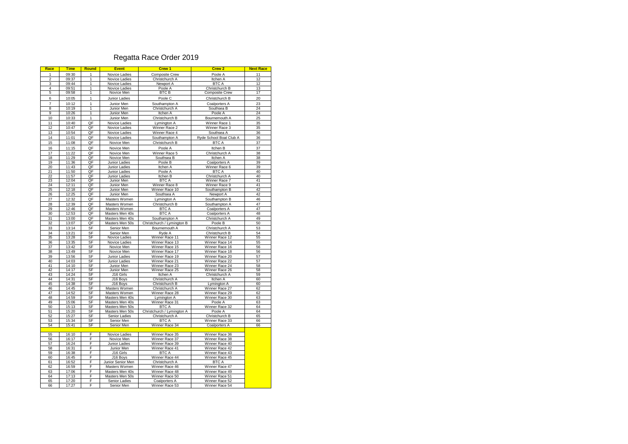#### Regatta Race Order 2019

| Race           | <b>Time</b>    | <b>Round</b> | <b>Event</b>                       | Crew 1                                      | Crew 2                                  | <b>Next Race</b> |
|----------------|----------------|--------------|------------------------------------|---------------------------------------------|-----------------------------------------|------------------|
| 1              | 09:30          | 1            | Novice Ladies                      | Composite Crew                              | Poole A                                 | 11               |
| $\overline{2}$ | 09:37          | 1            | Novice Ladies                      | Christchurch A                              | Itchen A                                | 12               |
| 3              | 09:44          | 1            | Novice Ladies                      | Newport A                                   | <b>BTC A</b>                            | 12               |
| $\overline{4}$ | 09:51          | 1            | Novice Ladies                      | Poole A                                     | Christchurch B                          | 13               |
| 5              | 09:58          | 1            | Novice Men                         | <b>BTC B</b>                                | <b>Composite Crew</b>                   | 17               |
| 6              | 10:05          | 1            | Junior Ladies                      | Poole C                                     | Christchurch B                          | 20               |
| $\overline{7}$ | 10:12          | $\mathbf{1}$ | Junior Men                         | Southampton A                               | Coalporters A                           | 23               |
| 8              | 10:19          | 1            | Junior Men                         | Christchurch A                              | Southsea B                              | 24               |
| 9              | 10:26          | 1            | Junior Men                         | Itchen A                                    | Poole A                                 | 24               |
| 10             | 10:33          | 1            | Junior Men                         | Christchurch B                              | Bournemouth A                           | 25               |
| 11             | 10:40          | QF           | Novice Ladies                      | Lymington A                                 | Winner Race 1                           | 35               |
| 12             | 10:47          | QF<br>QF     | Novice Ladies                      | Winner Race 2                               | Winner Race 3                           | 35               |
| 13<br>14       | 10:54          | QF           | Novice Ladies                      | Winner Race 4                               | Southsea A                              | 36               |
| 15             | 11:01<br>11:08 | QF           | Novice Ladies<br>Novice Men        | Southampton A<br>Christchurch B             | Ryde School Boat Club A<br><b>BTC A</b> | 36<br>37         |
|                |                |              |                                    |                                             |                                         |                  |
| 16             | 11:15          | QF           | Novice Men                         | Poole A                                     | Itchen B                                | 37               |
| 17             | 11:22          | QF           | Novice Men                         | Winner Race 5                               | Christchurch A                          | 38               |
| 18<br>19       | 11:29<br>11:36 | QF<br>QF     | Novice Men<br>Junior Ladies        | Southsea B<br>Poole B                       | Itchen A<br>Coalporters A               | 38<br>39         |
| 20             | 11:43          | QF           | Junior Ladies                      | Itchen A                                    | Winner Race 6                           | 39               |
| 21             | 11:50          | QF           | Junior Ladies                      | Poole A                                     | <b>BTC A</b>                            | 40               |
| 22             | 11:57          | QF           | Junior Ladies                      | Itchen B                                    | Christchurch A                          | 40               |
| 23             | 12:04          | QF           | Junior Men                         | <b>BTCA</b>                                 | Winner Race 7                           | 41               |
| 24             | 12:11          | QF           | Junior Men                         | Winner Race 8                               | Winner Race 9                           | 41               |
| 25             | 12:18          | QF           | Junior Men                         | Winner Race 10                              | Southampton B                           | 42               |
| 26             | 12:25          | QF           | Junior Men                         | Southsea A                                  | Newport A                               | 42               |
| 27             | 12:32          | QF           | Masters Women                      | Lymington A                                 | Southampton B                           | 46               |
| 28             | 12:39          | QF           | Masters Women                      | Christchurch B                              | Southampton A                           | 47               |
| 29             | 12:46          | QF           | Masters Women                      | <b>BTC A</b>                                | Coalporters A                           | 47               |
| 30             | 12:53          | QF           | Masters Men 40s                    | <b>BTCA</b>                                 | Coalporters A                           | 48               |
| 31<br>32       | 13:00<br>13:07 | QF<br>QF     | Masters Men 40s<br>Masters Men 50s | Southampton A<br>Christchurch / Lymington B | Christchurch A<br>Poole B               | 49<br>50         |
| 33             | 13:14          | SF           | Senior Men                         | Bournemouth A                               | Christchurch A                          | 53               |
| 34             | 13:21          | SF           | Senior Men                         | Ryde A                                      | Christchurch B                          | 54               |
| 35             | 13:28          | SF           | Novice Ladies                      | Winner Race 11                              | Winner Race 12                          | 55               |
| 36             | 13:35          | SF           | Novice Ladies                      | Winner Race 13                              | Winner Race 14                          | 55               |
| 37             | 13:42          | SF           | Novice Men                         | Winner Race 15                              | Winner Race 16                          | 56               |
| 38             | 13:49          | SF           | Novice Men                         | Winner Race 17                              | Winner Race 18                          | 56               |
| 39             | 13:56          | SF           | Junior Ladies                      | Winner Race 19                              | Winner Race 20                          | 57               |
| 40             | 14:03          | SF           | Junior Ladies                      | Winner Race 21                              | Winner Race 22                          | 57               |
| 41             | 14:10          | SF           | Junior Men                         | Winner Race 23                              | Winner Race 24                          | 58               |
| 42             | 14:17          | SF           | Junior Men                         | Winner Race 25                              | Winner Race 26                          | 58               |
| 43<br>44       | 14:24<br>14:31 | SF           | J16 Girls                          | <b>Itchen A</b>                             | Christchurch A                          | 59               |
| 45             | 14:38          | SF<br>SF     | J16 Boys<br>J16 Boys               | Christchurch A<br>Christchurch B            | Itchen A<br>Lymington A                 | 60<br>60         |
| 46             | 14:45          | SF           | Masters Women                      | Christchurch A                              | Winner Race 27                          | 62               |
| 47             | 14:52          | SF           | Masters Women                      | Winner Race 28                              | Winner Race 29                          | 62               |
| 48             | 14:59          | SF           | Masters Men 40s                    | Lymington A                                 | Winner Race 30                          | 63               |
| 49             | 15:06          | SF           | Masters Men 40s                    | Winner Race 31                              | Poole A                                 | 63               |
| 50             | 15:13          | SF           | Masters Men 50s                    | <b>BTC A</b>                                | Winner Race 32                          | 64               |
| 51             | 15:20          | SF           | Masters Men 50s                    | Christchurch / Lymington A                  | Poole A                                 | 64               |
| 52             | 15:27          | SF           | Senior Ladies                      | Christchurch A                              | Christchurch B                          | 65               |
| 53             | 15:34          | SF           | Senior Men                         | <b>BTC A</b>                                | Winner Race 33                          | 66               |
| 54             | 15:41          | SF           | Senior Men                         | Winner Race 34                              | Coalporters A                           | 66               |
| 55             | 16:10          | F            | Novice Ladies                      | Winner Race 35                              | Winner Race 36                          |                  |
| 56             | 16:17          | F            | Novice Men                         | Winner Race 37                              | Winner Race 38                          |                  |
| 57             | 16:24          | F            | Junior Ladies                      | Winner Race 39                              | Winner Race 40                          |                  |
| 58             | 16:31          | F            | Junior Men                         | Winner Race 41                              | Winner Race 42                          |                  |
| 59             | 16:38          | F            | J16 Girls                          | <b>BTCA</b>                                 | Winner Race 43                          |                  |
| 60             | 16:45          | F            | J16 Boys                           | Winner Race 44                              | Winner Race 45                          |                  |
| 61             | 16:52          | F            | Junior Senior Men                  | Christchurch A                              | <b>BTC A</b>                            |                  |
| 62             | 16:59          | F            | Masters Women                      | Winner Race 46                              | Winner Race 47                          |                  |
| 63<br>64       | 17:06<br>17:13 | F<br>F       | Masters Men 40s                    | Winner Race 48                              | Winner Race 49                          |                  |
| 65             | 17:20          | F            | Masters Men 50s<br>Senior Ladies   | Winner Race 50<br>Coalporters A             | Winner Race 51<br>Winner Race 52        |                  |
| 66             | 17:27          | F            | Senior Men                         | Winner Race 53                              | Winner Race 54                          |                  |
|                |                |              |                                    |                                             |                                         |                  |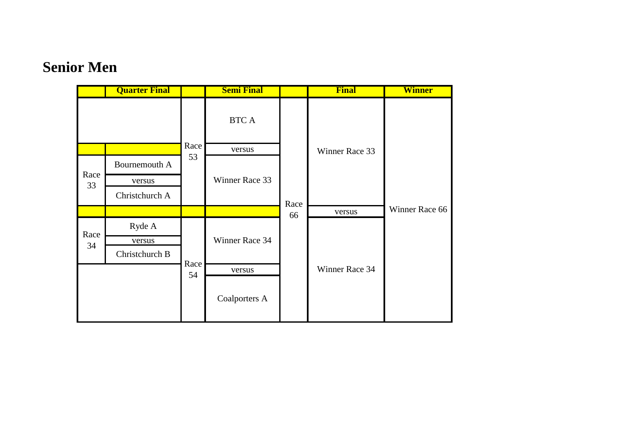#### **Senior Men**

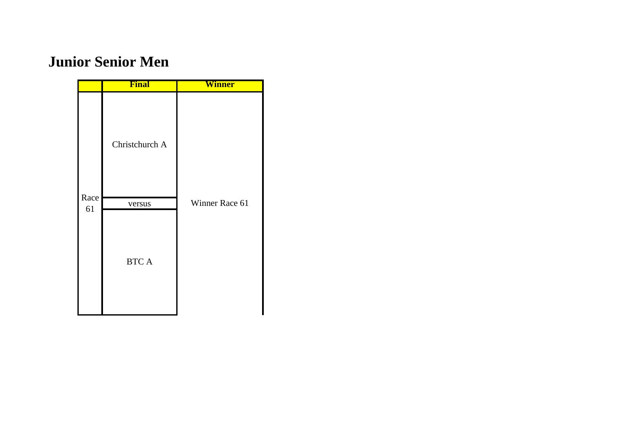## **Junior Senior Men**

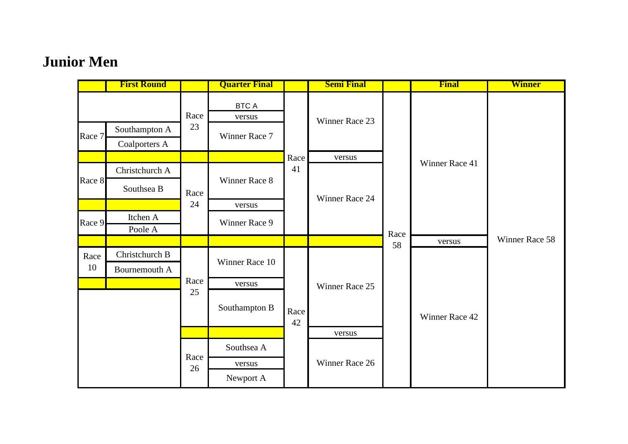# **Junior Men**

|        | <b>First Round</b> |            | <b>Quarter Final</b>   |            | <b>Semi Final</b> |      | <b>Final</b>   | <b>Winner</b>  |
|--------|--------------------|------------|------------------------|------------|-------------------|------|----------------|----------------|
|        |                    | Race       | <b>BTC A</b><br>versus |            |                   |      |                |                |
| Race 7 | Southampton A      | 23         | Winner Race 7          |            | Winner Race 23    |      |                |                |
|        | Coalporters A      |            |                        |            |                   |      |                |                |
|        |                    |            |                        | Race       | versus            |      | Winner Race 41 |                |
|        | Christchurch A     |            |                        | 41         |                   |      |                |                |
| Race 8 | Southsea B         | Race       | Winner Race 8          |            | Winner Race 24    |      |                |                |
|        |                    | 24         | versus                 |            |                   | Race |                |                |
| Race 9 | Itchen A           |            | Winner Race 9          |            |                   |      |                |                |
|        | Poole A            |            |                        |            |                   |      |                |                |
|        |                    |            |                        |            |                   | 58   | versus         | Winner Race 58 |
| Race   | Christchurch B     |            | Winner Race 10         |            | Winner Race 25    |      | Winner Race 42 |                |
| 10     | Bournemouth A      | Race<br>25 |                        |            |                   |      |                |                |
|        |                    |            | versus                 |            |                   |      |                |                |
|        |                    |            | Southampton B          | Race<br>42 |                   |      |                |                |
|        |                    |            |                        |            | versus            |      |                |                |
|        |                    |            | Southsea A             |            |                   |      |                |                |
|        |                    | Race<br>26 | versus                 |            | Winner Race 26    |      |                |                |
|        |                    |            | Newport A              |            |                   |      |                |                |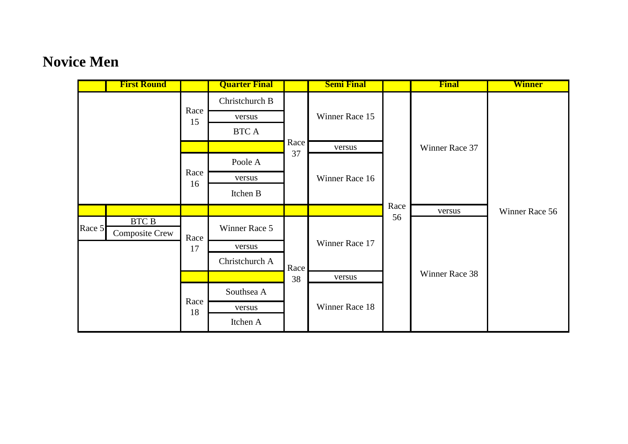# **Novice Men**

|        | <b>First Round</b>                    |            | <b>Quarter Final</b> |                | <b>Semi Final</b> |      | <b>Final</b>   | <b>Winner</b>  |
|--------|---------------------------------------|------------|----------------------|----------------|-------------------|------|----------------|----------------|
|        |                                       |            | Christchurch B       |                | Winner Race 15    |      |                |                |
|        |                                       | Race<br>15 | versus               |                |                   |      |                |                |
|        |                                       |            | BTC A                |                |                   |      |                |                |
|        |                                       |            |                      | Race<br>37     | versus            |      | Winner Race 37 |                |
|        |                                       | Race       | Poole A              |                |                   |      |                |                |
|        |                                       |            | versus               |                | Winner Race 16    |      |                |                |
|        |                                       | 16         | Itchen B             |                |                   |      |                |                |
|        |                                       |            |                      |                |                   | Race | versus         | Winner Race 56 |
| Race 5 | <b>BTC B</b><br><b>Composite Crew</b> | Race       | Winner Race 5        | Race           | Winner Race 17    | 56   | Winner Race 38 |                |
|        |                                       | 17         | versus               |                |                   |      |                |                |
|        |                                       |            | Christchurch A       |                |                   |      |                |                |
|        |                                       |            |                      | 38             | versus            |      |                |                |
|        | Race                                  | Southsea A |                      | Winner Race 18 |                   |      |                |                |
|        |                                       |            | versus               |                |                   |      |                |                |
|        |                                       | 18         | Itchen A             |                |                   |      |                |                |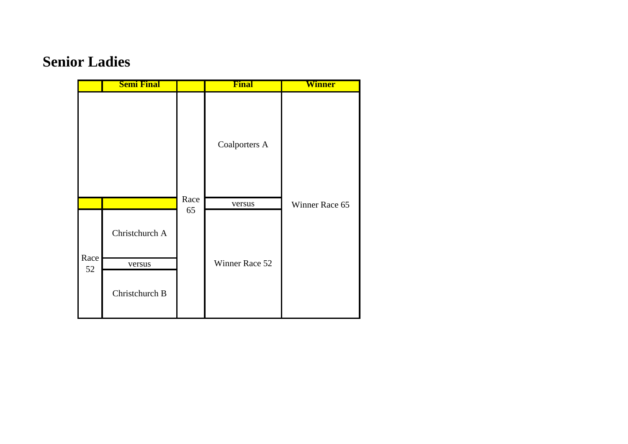### **Senior Ladies**

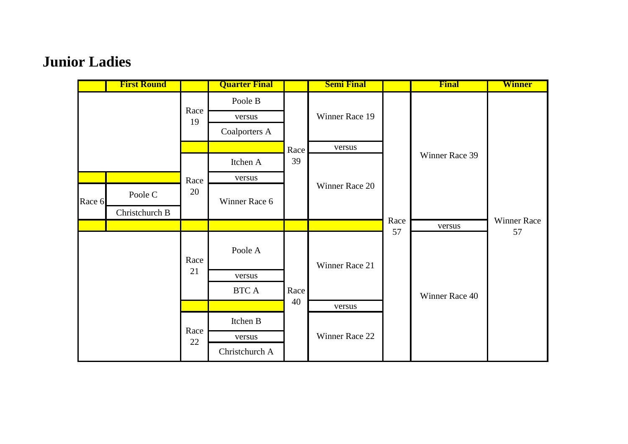# **Junior Ladies**

|        | <b>First Round</b> |            | <b>Quarter Final</b> |            | <b>Semi Final</b> |            | Final          | <b>Winner</b>     |
|--------|--------------------|------------|----------------------|------------|-------------------|------------|----------------|-------------------|
|        |                    |            | Poole B              | Race<br>39 | Winner Race 19    |            | Winner Race 39 |                   |
|        |                    | Race<br>19 | versus               |            |                   |            |                |                   |
|        |                    |            | Coalporters A        |            |                   |            |                |                   |
|        |                    |            |                      |            | versus            |            |                |                   |
|        |                    |            | Itchen A             |            | Winner Race 20    |            |                |                   |
|        |                    | Race       | versus               |            |                   |            |                |                   |
| Race 6 | Poole C            | 20         | Winner Race 6        |            |                   |            |                |                   |
|        | Christchurch B     |            |                      |            |                   |            |                |                   |
|        |                    |            |                      |            |                   | Race<br>57 | versus         | Winner Race<br>57 |
|        |                    | Race       | Poole A              |            | Winner Race 21    |            |                |                   |
|        |                    | 21         | versus               |            |                   |            | Winner Race 40 |                   |
|        |                    |            | BTC A                | Race       |                   |            |                |                   |
|        |                    |            |                      | 40         | versus            |            |                |                   |
|        |                    | Race       | Itchen B             |            |                   |            |                |                   |
|        |                    | $22\,$     | versus               |            | Winner Race 22    |            |                |                   |
|        |                    |            | Christchurch A       |            |                   |            |                |                   |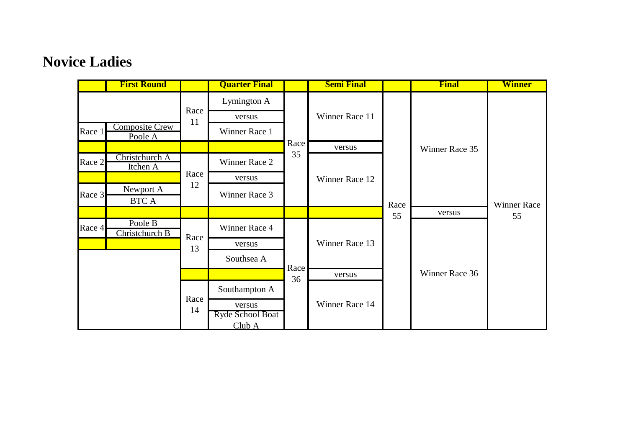#### **Novice Ladies**

|        | <b>First Round</b>               |            | <b>Quarter Final</b>       |      | <b>Semi Final</b> |      | <b>Final</b>   | <b>Winner</b>      |
|--------|----------------------------------|------------|----------------------------|------|-------------------|------|----------------|--------------------|
|        |                                  | Race<br>11 | Lymington A                |      | Winner Race 11    |      |                |                    |
|        |                                  |            | versus                     |      |                   |      |                |                    |
| Race 1 | <b>Composite Crew</b><br>Poole A |            | Winner Race 1              |      |                   |      |                |                    |
|        |                                  |            |                            | Race | versus            |      | Winner Race 35 |                    |
| Race 2 | Christchurch A<br>Itchen A       |            | Winner Race 2              | 35   | Winner Race 12    | Race |                | <b>Winner Race</b> |
|        |                                  | Race       | versus                     |      |                   |      |                |                    |
| Race 3 | Newport A                        | 12         | Winner Race 3              |      |                   |      |                |                    |
|        | <b>BTC A</b>                     |            |                            |      |                   |      |                |                    |
|        |                                  |            |                            |      |                   | 55   | versus         | 55                 |
| Race 4 | Poole B<br>Christchurch B        | Race       | Winner Race 4              |      | Winner Race 13    |      | Winner Race 36 |                    |
|        |                                  | 13         | versus                     |      |                   |      |                |                    |
|        |                                  |            | Southsea A                 | Race |                   |      |                |                    |
|        |                                  | Race<br>14 |                            | 36   | versus            |      |                |                    |
|        |                                  |            | Southampton A              |      | Winner Race 14    |      |                |                    |
|        |                                  |            | versus<br>Ryde School Boat |      |                   |      |                |                    |
|        |                                  |            | Club A                     |      |                   |      |                |                    |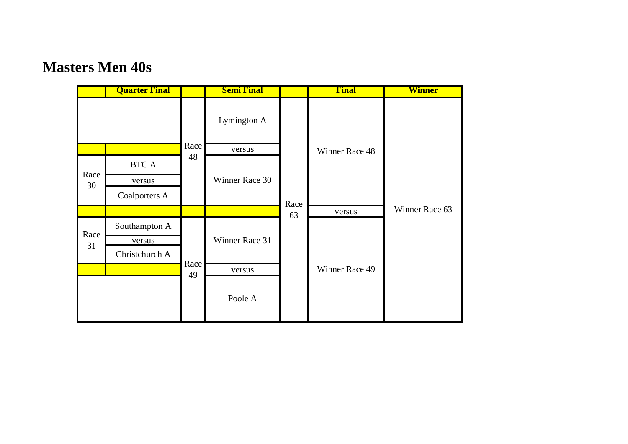#### **Masters Men 40s**

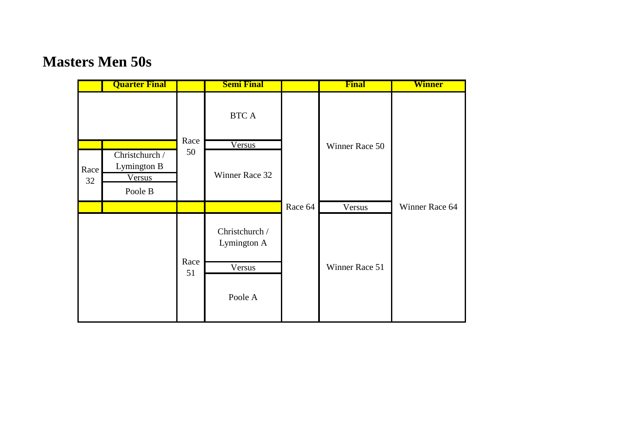#### **Masters Men 50s**

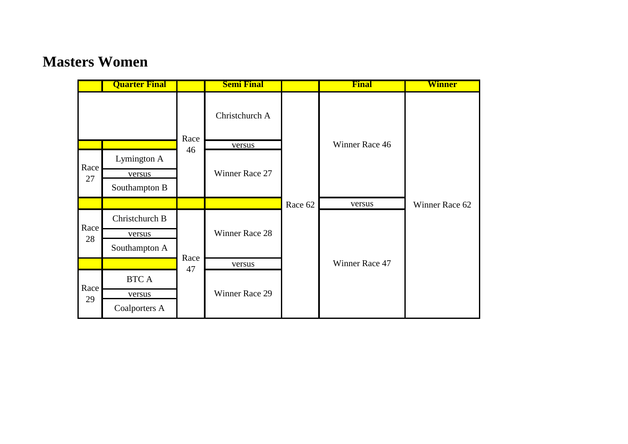#### **Masters Women**

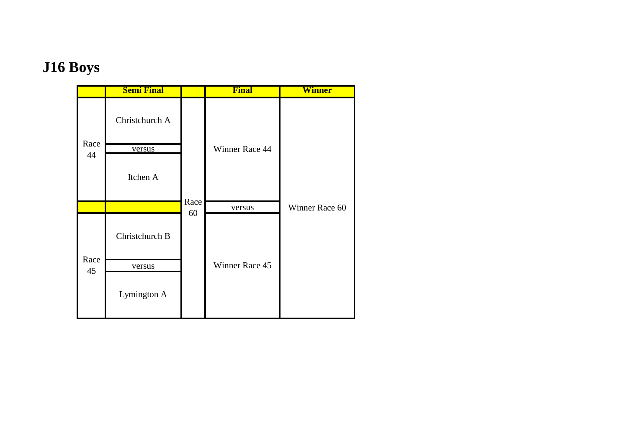# **J16 Boys**